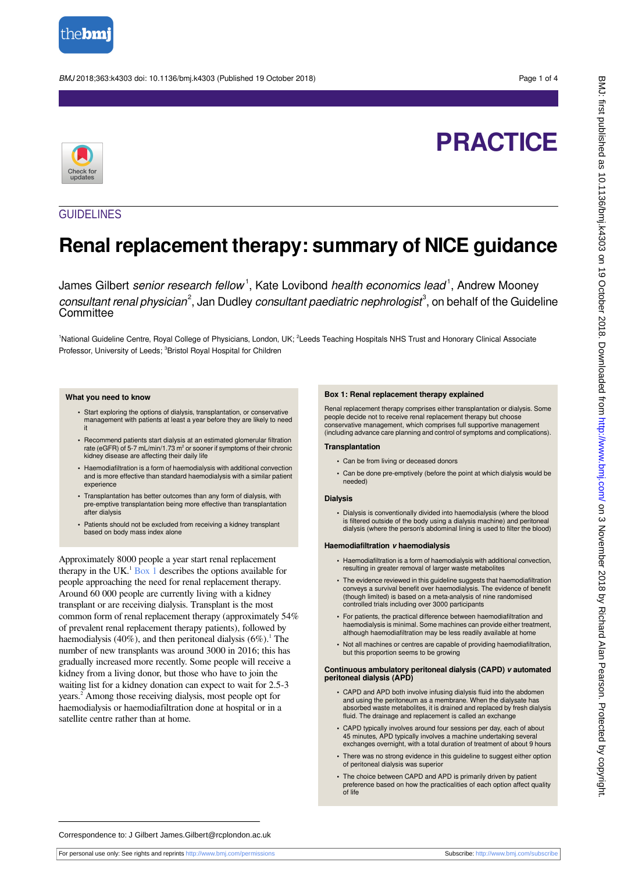

BMJ 2018;363:k4303 doi: 10.1136/bmj.k4303 (Published 19 October 2018) Page 1 of 4



# **PRACTICE**

## **GUIDELINES**

# **Renal replacement therapy: summary of NICE guidance**

James Gilbert senior research fellow<sup>1</sup>, Kate Lovibond health economics lead<sup>1</sup>, Andrew Mooney consultant renal physician<sup>2</sup>, Jan Dudley consultant paediatric nephrologist<sup>3</sup>, on behalf of the Guideline **Committee** 

<sup>1</sup>National Guideline Centre, Royal College of Physicians, London, UK; <sup>2</sup>Leeds Teaching Hospitals NHS Trust and Honorary Clinical Associate Professor, University of Leeds; <sup>3</sup>Bristol Royal Hospital for Children

#### **What you need to know**

- **•** Start exploring the options of dialysis, transplantation, or conservative management with patients at least a year before they are likely to need it
- **•** Recommend patients start dialysis at an estimated glomerular filtration rate (eGFR) of 5-7 mL/min/1.73 m<sup>2</sup> or sooner if symptoms of their chronic kidney disease are affecting their daily life
- **•** Haemodiafiltration is a form of haemodialysis with additional convection and is more effective than standard haemodialysis with a similar patient experience
- **•** Transplantation has better outcomes than any form of dialysis, with pre-emptive transplantation being more effective than transplantation after dialysis
- **•** Patients should not be excluded from receiving a kidney transplant based on body mass index alone

Approximately 8000 people a year start renal replacement therapy in the UK. $<sup>1</sup>$  [Box 1](#page-0-0) describes the options available for</sup> people approaching the need for renal replacement therapy. Around 60 000 people are currently living with a kidney transplant or are receiving dialysis. Transplant is the most common form of renal replacement therapy (approximately 54% of prevalent renal replacement therapy patients), followed by haemodialysis (40%), and then peritoneal dialysis  $(6\%)$ .<sup>1</sup> The number of new transplants was around 3000 in 2016; this has gradually increased more recently. Some people will receive a kidney from a living donor, but those who have to join the waiting list for a kidney donation can expect to wait for 2.5-3 years.<sup>2</sup> Among those receiving dialysis, most people opt for haemodialysis or haemodiafiltration done at hospital or in a satellite centre rather than at home.

#### <span id="page-0-0"></span>**Box 1: Renal replacement therapy explained**

Renal replacement therapy comprises either transplantation or dialysis. Some people decide not to receive renal replacement therapy but choose conservative management, which comprises full supportive management (including advance care planning and control of symptoms and complications).

#### **Transplantation**

- **•** Can be from living or deceased donors
- **•** Can be done pre-emptively (before the point at which dialysis would be needed)

#### **Dialysis**

**•** Dialysis is conventionally divided into haemodialysis (where the blood is filtered outside of the body using a dialysis machine) and peritoneal dialysis (where the person's abdominal lining is used to filter the blood)

#### **Haemodiafiltration** *v* **haemodialysis**

- **•** Haemodiafiltration is a form of haemodialysis with additional convection, resulting in greater removal of larger waste metabolites
- **•** The evidence reviewed in this guideline suggests that haemodiafiltration conveys a survival benefit over haemodialysis. The evidence of benefit (though limited) is based on a meta-analysis of nine randomised controlled trials including over 3000 participants
- **•** For patients, the practical difference between haemodiafiltration and haemodialysis is minimal. Some machines can provide either treatment, although haemodiafiltration may be less readily available at home
- **•** Not all machines or centres are capable of providing haemodiafiltration, but this proportion seems to be growing

# **Continuous ambulatory peritoneal dialysis (CAPD)** *v* **automated peritoneal dialysis (APD)**

- **•** CAPD and APD both involve infusing dialysis fluid into the abdomen and using the peritoneum as a membrane. When the dialysate has absorbed waste metabolites, it is drained and replaced by fresh dialysis fluid. The drainage and replacement is called an exchange
- **•** CAPD typically involves around four sessions per day, each of about 45 minutes, APD typically involves a machine undertaking several exchanges overnight, with a total duration of treatment of about 9 hours
- **•** There was no strong evidence in this guideline to suggest either option of peritoneal dialysis was superior
- **•** The choice between CAPD and APD is primarily driven by patient preference based on how the practicalities of each option affect quality of life

BMJ: first published as 10.1136/bmj.k4303 on 19 October 2018. Downloaded from http://www.bmj.com/ on 3 November 2018 by Richard Alan Pearson. Protected by copyright BMJ: first published as 10.1136/bmj.k4303 on 19 October 2018. Downloaded from <http://www.bmj.com/> on 3 November 2018 by Richard Alan Pearson. Protected by copyright.

Correspondence to: J Gilbert James.Gilbert@rcplondon.ac.uk

For personal use only: See rights and reprints<http://www.bmj.com/permissions> Subscribe: <http://www.bmj.com/subscribe>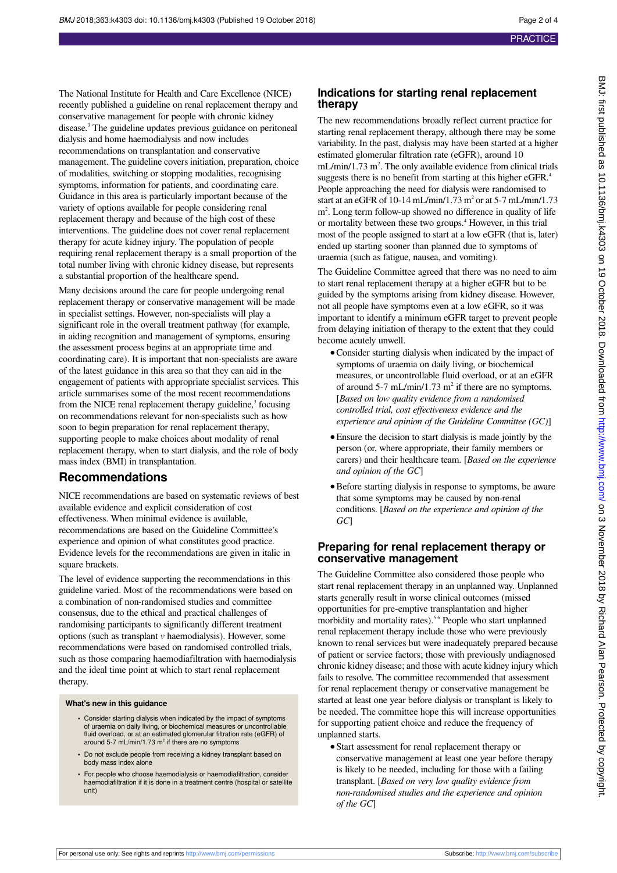The National Institute for Health and Care Excellence (NICE) recently published a guideline on renal replacement therapy and conservative management for people with chronic kidney disease.<sup>3</sup> The guideline updates previous guidance on peritoneal dialysis and home haemodialysis and now includes recommendations on transplantation and conservative management. The guideline covers initiation, preparation, choice of modalities, switching or stopping modalities, recognising symptoms, information for patients, and coordinating care. Guidance in this area is particularly important because of the variety of options available for people considering renal replacement therapy and because of the high cost of these interventions. The guideline does not cover renal replacement therapy for acute kidney injury. The population of people requiring renal replacement therapy is a small proportion of the total number living with chronic kidney disease, but represents a substantial proportion of the healthcare spend.

Many decisions around the care for people undergoing renal replacement therapy or conservative management will be made in specialist settings. However, non-specialists will play a significant role in the overall treatment pathway (for example, in aiding recognition and management of symptoms, ensuring the assessment process begins at an appropriate time and coordinating care). It is important that non-specialists are aware of the latest guidance in this area so that they can aid in the engagement of patients with appropriate specialist services. This article summarises some of the most recent recommendations from the NICE renal replacement therapy guideline,<sup>3</sup> focusing on recommendations relevant for non-specialists such as how soon to begin preparation for renal replacement therapy, supporting people to make choices about modality of renal replacement therapy, when to start dialysis, and the role of body mass index (BMI) in transplantation.

## **Recommendations**

NICE recommendations are based on systematic reviews of best available evidence and explicit consideration of cost effectiveness. When minimal evidence is available, recommendations are based on the Guideline Committee's experience and opinion of what constitutes good practice. Evidence levels for the recommendations are given in italic in square brackets.

The level of evidence supporting the recommendations in this guideline varied. Most of the recommendations were based on a combination of non-randomised studies and committee consensus, due to the ethical and practical challenges of randomising participants to significantly different treatment options (such as transplant *v* haemodialysis). However, some recommendations were based on randomised controlled trials, such as those comparing haemodiafiltration with haemodialysis and the ideal time point at which to start renal replacement therapy.

### **What's new in this guidance**

- **•** Consider starting dialysis when indicated by the impact of symptoms of uraemia on daily living, or biochemical measures or uncontrollable fluid overload, or at an estimated glomerular filtration rate (eGFR) of around 5-7 mL/min/1.73  $m^2$  if there are no symptoms
- **•** Do not exclude people from receiving a kidney transplant based on body mass index alone
- **•** For people who choose haemodialysis or haemodiafiltration, consider haemodiafiltration if it is done in a treatment centre (hospital or satellite unit)

## **Indications for starting renal replacement therapy**

The new recommendations broadly reflect current practice for starting renal replacement therapy, although there may be some variability. In the past, dialysis may have been started at a higher estimated glomerular filtration rate (eGFR), around 10  $mL/min/1.73$  m<sup>2</sup>. The only available evidence from clinical trials suggests there is no benefit from starting at this higher eGFR.<sup>4</sup> People approaching the need for dialysis were randomised to start at an eGFR of 10-14 mL/min/1.73  $m<sup>2</sup>$  or at 5-7 mL/min/1.73 m 2 . Long term follow-up showed no difference in quality of life or mortality between these two groups.<sup>4</sup> However, in this trial most of the people assigned to start at a low eGFR (that is, later) ended up starting sooner than planned due to symptoms of uraemia (such as fatigue, nausea, and vomiting).

The Guideline Committee agreed that there was no need to aim to start renal replacement therapy at a higher eGFR but to be guided by the symptoms arising from kidney disease. However, not all people have symptoms even at a low eGFR, so it was important to identify a minimum eGFR target to prevent people from delaying initiation of therapy to the extent that they could become acutely unwell.

- **•**Consider starting dialysis when indicated by the impact of symptoms of uraemia on daily living, or biochemical measures, or uncontrollable fluid overload, or at an eGFR of around  $5\n-7$  mL/min/1.73 m<sup>2</sup> if there are no symptoms. [*Based on low quality evidence from a randomised controlled trial, cost effectiveness evidence and the experience and opinion of the Guideline Committee (GC)*]
- **•**Ensure the decision to start dialysis is made jointly by the person (or, where appropriate, their family members or carers) and their healthcare team. [*Based on the experience and opinion of the GC*]
- **•**Before starting dialysis in response to symptoms, be aware that some symptoms may be caused by non-renal conditions. [*Based on the experience and opinion of the GC*]

## **Preparing for renal replacement therapy or conservative management**

The Guideline Committee also considered those people who start renal replacement therapy in an unplanned way. Unplanned starts generally result in worse clinical outcomes (missed opportunities for pre-emptive transplantation and higher morbidity and mortality rates).<sup>56</sup> People who start unplanned renal replacement therapy include those who were previously known to renal services but were inadequately prepared because of patient or service factors; those with previously undiagnosed chronic kidney disease; and those with acute kidney injury which fails to resolve. The committee recommended that assessment for renal replacement therapy or conservative management be started at least one year before dialysis or transplant is likely to be needed. The committee hope this will increase opportunities for supporting patient choice and reduce the frequency of unplanned starts.

**•**Start assessment for renal replacement therapy or conservative management at least one year before therapy is likely to be needed, including for those with a failing transplant. [*Based on very low quality evidence from non-randomised studies and the experience and opinion of the GC*]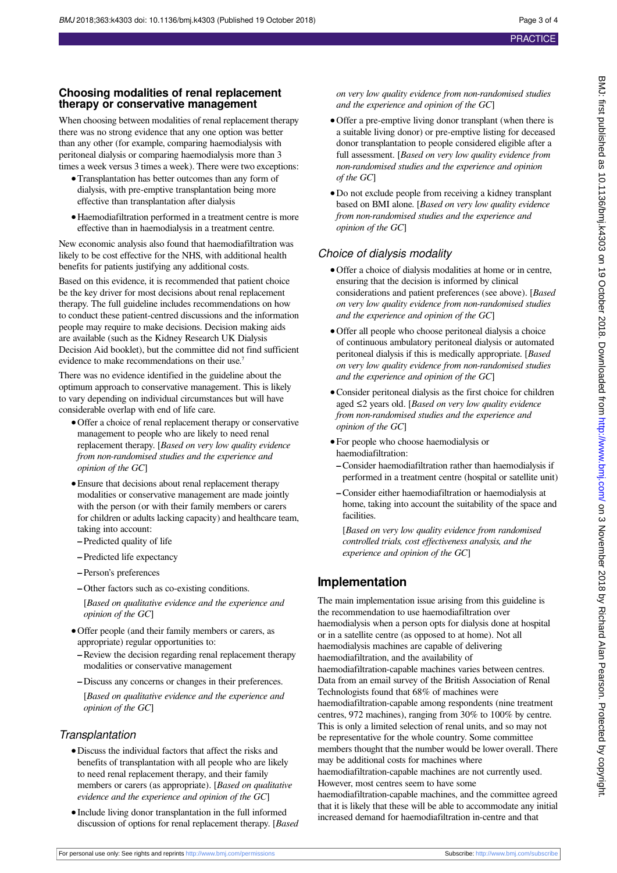## **Choosing modalities of renal replacement therapy or conservative management**

When choosing between modalities of renal replacement therapy there was no strong evidence that any one option was better than any other (for example, comparing haemodialysis with peritoneal dialysis or comparing haemodialysis more than 3 times a week versus 3 times a week). There were two exceptions:

- **•**Transplantation has better outcomes than any form of dialysis, with pre-emptive transplantation being more effective than transplantation after dialysis
- **•**Haemodiafiltration performed in a treatment centre is more effective than in haemodialysis in a treatment centre.

New economic analysis also found that haemodiafiltration was likely to be cost effective for the NHS, with additional health benefits for patients justifying any additional costs.

Based on this evidence, it is recommended that patient choice be the key driver for most decisions about renal replacement therapy. The full guideline includes recommendations on how to conduct these patient-centred discussions and the information people may require to make decisions. Decision making aids are available (such as the Kidney Research UK Dialysis Decision Aid booklet), but the committee did not find sufficient evidence to make recommendations on their use.<sup>7</sup>

There was no evidence identified in the guideline about the optimum approach to conservative management. This is likely to vary depending on individual circumstances but will have considerable overlap with end of life care.

- **•**Offer a choice of renal replacement therapy or conservative management to people who are likely to need renal replacement therapy. [*Based on very low quality evidence from non-randomised studies and the experience and opinion of the GC*]
- **•**Ensure that decisions about renal replacement therapy modalities or conservative management are made jointly with the person (or with their family members or carers for children or adults lacking capacity) and healthcare team, taking into account:
- **–** Predicted quality of life
- **–** Predicted life expectancy
- **–** Person's preferences
- **–** Other factors such as co-existing conditions. [*Based on qualitative evidence and the experience and opinion of the GC*]
- **•**Offer people (and their family members or carers, as appropriate) regular opportunities to:
- **–**Review the decision regarding renal replacement therapy modalities or conservative management
- **–** Discuss any concerns or changes in their preferences. [*Based on qualitative evidence and the experience and opinion of the GC*]

## **Transplantation**

- **•**Discuss the individual factors that affect the risks and benefits of transplantation with all people who are likely to need renal replacement therapy, and their family members or carers (as appropriate). [*Based on qualitative evidence and the experience and opinion of the GC*]
- **•**Include living donor transplantation in the full informed discussion of options for renal replacement therapy. [*Based*

*on very low quality evidence from non-randomised studies and the experience and opinion of the GC*]

- **•**Offer a pre-emptive living donor transplant (when there is a suitable living donor) or pre-emptive listing for deceased donor transplantation to people considered eligible after a full assessment. [*Based on very low quality evidence from non-randomised studies and the experience and opinion of the GC*]
- **•**Do not exclude people from receiving a kidney transplant based on BMI alone. [*Based on very low quality evidence from non-randomised studies and the experience and opinion of the GC*]

## Choice of dialysis modality

- **•**Offer a choice of dialysis modalities at home or in centre, ensuring that the decision is informed by clinical considerations and patient preferences (see above). [*Based on very low quality evidence from non-randomised studies and the experience and opinion of the GC*]
- **•**Offer all people who choose peritoneal dialysis a choice of continuous ambulatory peritoneal dialysis or automated peritoneal dialysis if this is medically appropriate. [*Based on very low quality evidence from non-randomised studies and the experience and opinion of the GC*]
- **•**Consider peritoneal dialysis as the first choice for children aged ≤2 years old. [*Based on very low quality evidence from non-randomised studies and the experience and opinion of the GC*]
- **•**For people who choose haemodialysis or haemodiafiltration:
- **–**Consider haemodiafiltration rather than haemodialysis if performed in a treatment centre (hospital or satellite unit)
- **–**Consider either haemodiafiltration or haemodialysis at home, taking into account the suitability of the space and facilities.

[*Based on very low quality evidence from randomised controlled trials, cost effectiveness analysis, and the experience and opinion of the GC*]

## **Implementation**

The main implementation issue arising from this guideline is the recommendation to use haemodiafiltration over haemodialysis when a person opts for dialysis done at hospital or in a satellite centre (as opposed to at home). Not all haemodialysis machines are capable of delivering haemodiafiltration, and the availability of haemodiafiltration-capable machines varies between centres. Data from an email survey of the British Association of Renal Technologists found that 68% of machines were haemodiafiltration-capable among respondents (nine treatment centres, 972 machines), ranging from 30% to 100% by centre. This is only a limited selection of renal units, and so may not be representative for the whole country. Some committee members thought that the number would be lower overall. There may be additional costs for machines where haemodiafiltration-capable machines are not currently used. However, most centres seem to have some haemodiafiltration-capable machines, and the committee agreed that it is likely that these will be able to accommodate any initial

increased demand for haemodiafiltration in-centre and that